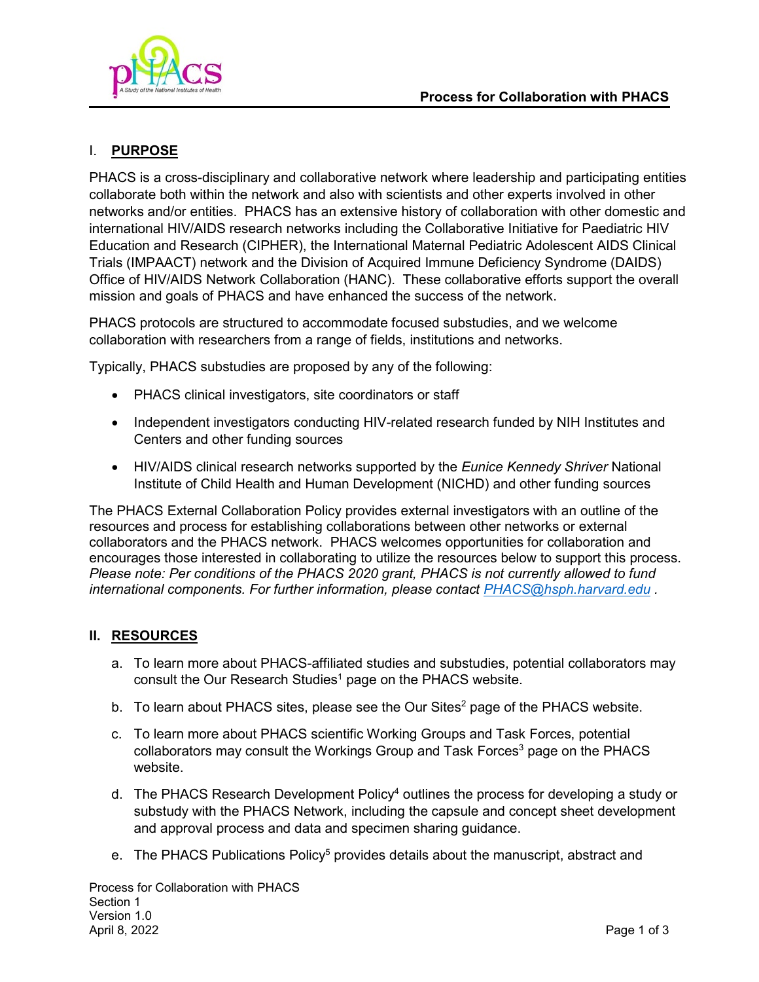

## I. **PURPOSE**

PHACS is a cross-disciplinary and collaborative network where leadership and participating entities collaborate both within the network and also with scientists and other experts involved in other networks and/or entities. PHACS has an extensive history of collaboration with other domestic and international HIV/AIDS research networks including the Collaborative Initiative for Paediatric HIV Education and Research (CIPHER), the International Maternal Pediatric Adolescent AIDS Clinical Trials (IMPAACT) network and the Division of Acquired Immune Deficiency Syndrome (DAIDS) Office of HIV/AIDS Network Collaboration (HANC). These collaborative efforts support the overall mission and goals of PHACS and have enhanced the success of the network.

PHACS protocols are structured to accommodate focused substudies, and we welcome collaboration with researchers from a range of fields, institutions and networks.

Typically, PHACS substudies are proposed by any of the following:

- PHACS clinical investigators, site coordinators or staff
- Independent investigators conducting HIV-related research funded by NIH Institutes and Centers and other funding sources
- HIV/AIDS clinical research networks supported by the *Eunice Kennedy Shriver* National Institute of Child Health and Human Development (NICHD) and other funding sources

The PHACS External Collaboration Policy provides external investigators with an outline of the resources and process for establishing collaborations between other networks or external collaborators and the PHACS network. PHACS welcomes opportunities for collaboration and encourages those interested in collaborating to utilize the resources below to support this process. *Please note: Per conditions of the PHACS 2020 grant, PHACS is not currently allowed to fund international components. For further information, please contact [PHACS@hsph.harvard.edu](mailto:PHACS@hsph.harvard.edu) .* 

### **II. RESOURCES**

- a. To learn more about PHACS-affiliated studies and substudies, potential collaborators may consult the Our Research Studies<sup>1</sup> page on the PHACS website.
- b. To learn about PHACS sites, please see the Our Sites $^2$  page of the PHACS website.
- c. To learn more about PHACS scientific Working Groups and Task Forces, potential collaborators may consult the Workings Group and Task Forces<sup>3</sup> page on the PHACS website.
- d. The PHACS Research Development Policy<sup>4</sup> outlines the process for developing a study or substudy with the PHACS Network, including the capsule and concept sheet development and approval process and data and specimen sharing guidance.
- e. The PHACS Publications Policy<sup>5</sup> provides details about the manuscript, abstract and

Process for Collaboration with PHACS Section 1 Version 1.0 April 8, 2022 Page 1 of 3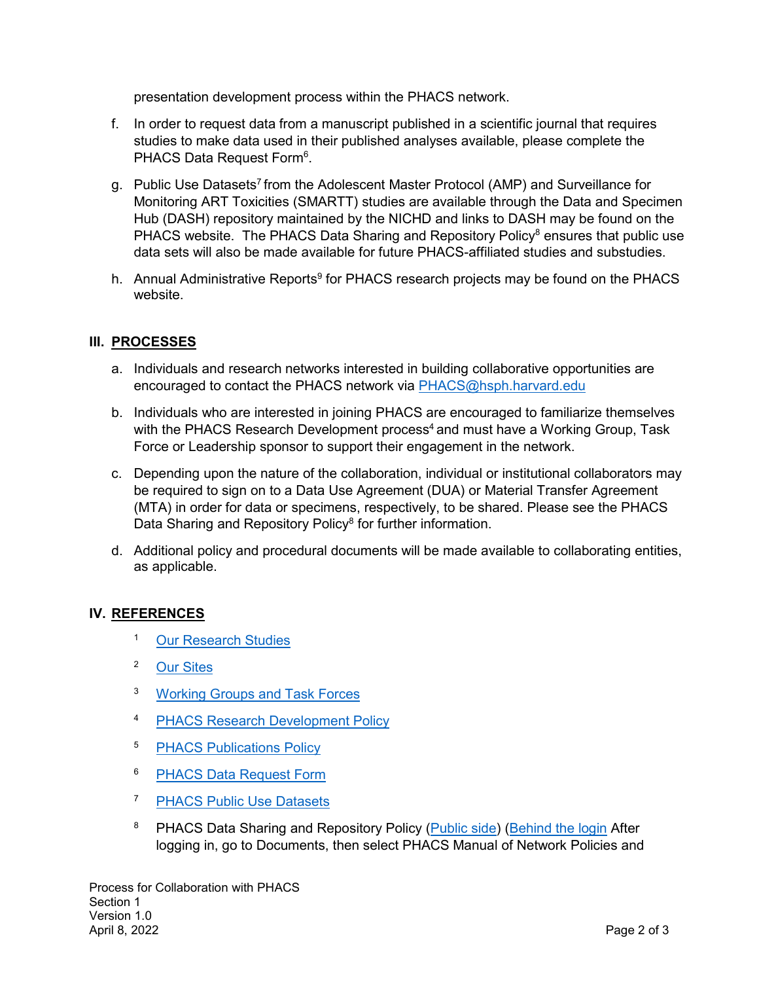presentation development process within the PHACS network.

- f. In order to request data from a manuscript published in a scientific journal that requires studies to make data used in their published analyses available, please complete the PHACS Data Request Form<sup>6</sup>.
- g. Public Use Datasets7 from the Adolescent Master Protocol (AMP) and Surveillance for Monitoring ART Toxicities (SMARTT) studies are available through the Data and Specimen Hub (DASH) repository maintained by the NICHD and links to DASH may be found on the PHACS website. The PHACS Data Sharing and Repository Policy<sup>8</sup> ensures that public use data sets will also be made available for future PHACS-affiliated studies and substudies.
- h. Annual Administrative Reports<sup>9</sup> for PHACS research projects may be found on the PHACS website.

## **III. PROCESSES**

- a. Individuals and research networks interested in building collaborative opportunities are encouraged to contact the PHACS network via PHACS@hsph.harvard.edu
- b. Individuals who are interested in joining PHACS are encouraged to familiarize themselves with the PHACS Research Development process<sup>4</sup> and must have a Working Group, Task Force or Leadership sponsor to support their engagement in the network.
- c. Depending upon the nature of the collaboration, individual or institutional collaborators may be required to sign on to a Data Use Agreement (DUA) or Material Transfer Agreement (MTA) in order for data or specimens, respectively, to be shared. Please see the PHACS Data Sharing and Repository Policy<sup>8</sup> for further information.
- d. Additional policy and procedural documents will be made available to collaborating entities, as applicable.

### **IV. REFERENCES**

- <sup>1</sup> [Our Research Studies](https://phacsstudy.org/Our-Research/Studies)
- <sup>2</sup> [Our Sites](https://phacsstudy.org/About-Us/Our-Sites)
- <sup>3</sup> [Working Groups and Task Forces](https://phacsstudy.org/Our-Research/Areas-of-Focus)
- 4 PHACS Research Development Policy
- <sup>5</sup> [PHACS Publications Policy](https://phacsstudy.org/Our-Research/Publications-Policy-Documents)
- <sup>6</sup> [PHACS Data Request Form](https://phacsstudy.org/Our-Research/Data-and-Specimen-Sharing)
- <sup>7</sup> [PHACS Public Use Datasets](https://phacsstudy.org/Our-Research/Data-and-Specimen-Sharing)
- <sup>8</sup> PHACS Data Sharing and Repository Policy (**Public side**) (**Behind the login** After logging in, go to Documents, then select PHACS Manual of Network Policies and

Process for Collaboration with PHACS Section 1 Version 1.0 April 8, 2022 Page 2 of 3